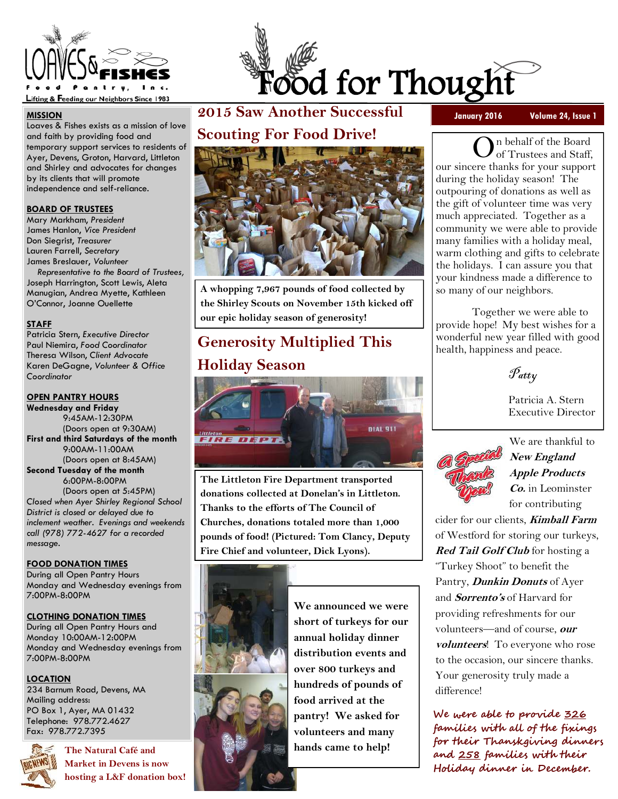

#### **MISSION**

Loaves & Fishes exists as a mission of love and faith by providing food and temporary support services to residents of Ayer, Devens, Groton, Harvard, Littleton and Shirley and advocates for changes by its clients that will promote independence and self-reliance.

#### **BOARD OF TRUSTEES**

Mary Markham, *President*  James Hanlon, *Vice President* Don Siegrist, *Treasurer* Lauren Farrell, *Secretary*  James Breslauer, *Volunteer* 

 *Representative to the Board of Trustees,* Joseph Harrington, Scott Lewis, Aleta Manugian, Andrea Myette, Kathleen O'Connor, Joanne Ouellette

#### **STAFF**

Patricia Stern, *Executive Director*  Paul Niemira, *Food Coordinator*  Theresa Wilson, *Client Advocate*  Karen DeGagne, *Volunteer & Office Coordinator* 

### **OPEN PANTRY HOURS**

**Wednesday and Friday**  9:45AM-12:30PM (Doors open at 9:30AM) **First and third Saturdays of the month**  9:00AM-11:00AM (Doors open at 8:45AM) **Second Tuesday of the month**  6:00PM-8:00PM (Doors open at 5:45PM) *Closed when Ayer Shirley Regional School District is closed or delayed due to inclement weather. Evenings and weekends call (978) 772-4627 for a recorded* 

#### **FOOD DONATION TIMES**

During all Open Pantry Hours Monday and Wednesday evenings from 7:00PM-8:00PM

### **CLOTHING DONATION TIMES**

During all Open Pantry Hours and Monday 10:00AM-12:00PM Monday and Wednesday evenings from 7:00PM-8:00PM

### **LOCATION**

*message.* 

234 Barnum Road, Devens, MA Mailing address: PO Box 1, Ayer, MA 01432 Telephone: 978.772.4627 Fax: 978.772.7395



**The Natural Café and Market in Devens is now hosting a L&F donation box!** 



**2015 Saw Another Successful** 

**January 2016 Volume 24, Issue 1** 

**Scouting For Food Drive!** 



**A whopping 7,967 pounds of food collected by the Shirley Scouts on November 15th kicked off our epic holiday season of generosity!** 

# **Generosity Multiplied This Holiday Season**



**The Littleton Fire Department transported donations collected at Donelan's in Littleton. Thanks to the efforts of The Council of Churches, donations totaled more than 1,000 pounds of food! (Pictured: Tom Clancy, Deputy Fire Chief and volunteer, Dick Lyons).** 



**We announced we were short of turkeys for our annual holiday dinner distribution events and over 800 turkeys and hundreds of pounds of food arrived at the pantry! We asked for volunteers and many hands came to help!** 

n behalf of the Board of Trustees and Staff, our sincere thanks for your support during the holiday season! The outpouring of donations as well as the gift of volunteer time was very much appreciated. Together as a community we were able to provide many families with a holiday meal, warm clothing and gifts to celebrate the holidays. I can assure you that your kindness made a difference to so many of our neighbors.

 Together we were able to provide hope! My best wishes for a wonderful new year filled with good health, happiness and peace.

Patty

 Patricia A. Stern Executive Director



We are thankful to **New England Apple Products Co.** in Leominster for contributing

cider for our clients, **Kimball Farm**  of Westford for storing our turkeys, **Red Tail Golf Club** for hosting a "Turkey Shoot" to benefit the Pantry, **Dunkin Donuts** of Ayer and **Sorrento's** of Harvard for providing refreshments for our volunteers—and of course, **our volunteers**! To everyone who rose to the occasion, our sincere thanks. Your generosity truly made a difference!

**We were able to provide 326 families with all of the fixings for their Thanskgiving dinners and 258 families with their Holiday dinner in December.**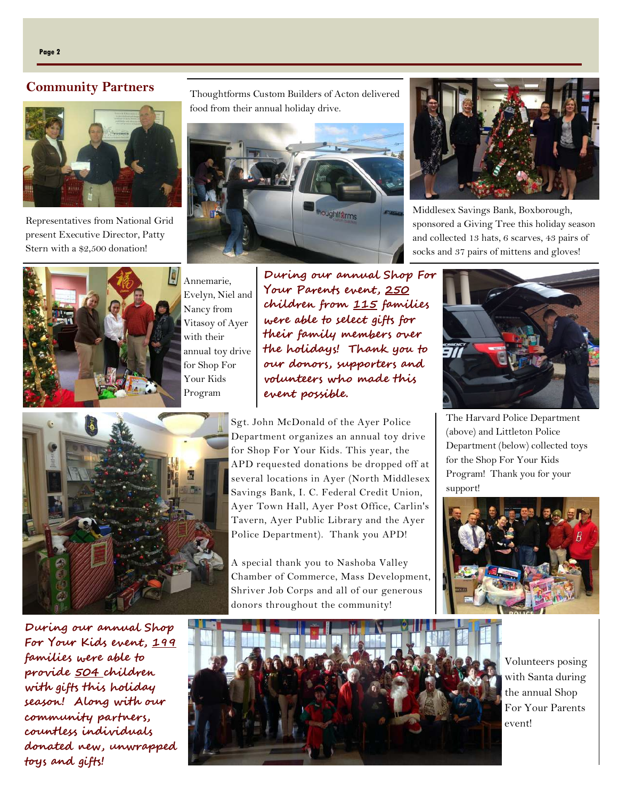### **Community Partners**



Representatives from National Grid present Executive Director, Patty Stern with a \$2,500 donation!



Annemarie, Evelyn, Niel and Nancy from Vitasoy of Ayer with their annual toy drive for Shop For Your Kids Program

**During our annual Shop For Your Parents event, 250 children from 115 families were able to select gifts for their family members over the holidays! Thank you to our donors, supporters and volunteers who made this event possible.**



Sgt. John McDonald of the Ayer Police Department organizes an annual toy drive for Shop For Your Kids. This year, the APD requested donations be dropped off at several locations in Ayer (North Middlesex Savings Bank, I. C. Federal Credit Union, Ayer Town Hall, Ayer Post Office, Carlin's Tavern, Ayer Public Library and the Ayer Police Department). Thank you APD!

A special thank you to Nashoba Valley Chamber of Commerce, Mass Development, Shriver Job Corps and all of our generous donors throughout the community!



Middlesex Savings Bank, Boxborough, sponsored a Giving Tree this holiday season and collected 13 hats, 6 scarves, 43 pairs of socks and 37 pairs of mittens and gloves!



The Harvard Police Department (above) and Littleton Police Department (below) collected toys for the Shop For Your Kids Program! Thank you for your support!



**During our annual Shop For Your Kids event, 199 families were able to provide 504 children with gifts this holiday season! Along with our community partners, countless individuals donated new, unwrapped toys and gifts!** 



Volunteers posing with Santa during the annual Shop For Your Parents event!

Thoughtforms Custom Builders of Acton delivered food from their annual holiday drive.

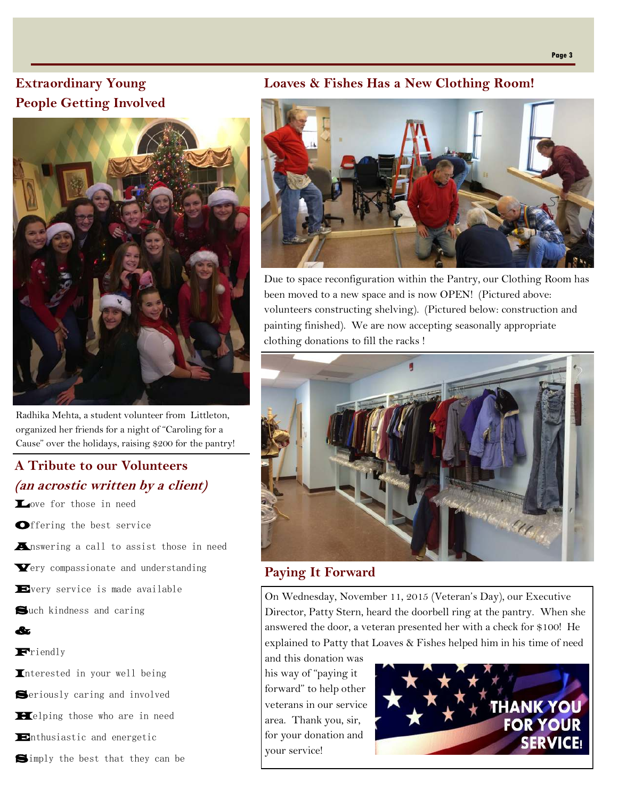## **Extraordinary Young People Getting Involved**



Radhika Mehta, a student volunteer from Littleton, organized her friends for a night of "Caroling for a Cause" over the holidays, raising \$200 for the pantry!

## **A Tribute to our Volunteers (an acrostic written by a client)**

Love for those in need

Offering the best service

Answering a call to assist those in need

Very compassionate and understanding

Every service is made available

Such kindness and caring

### Friendly

&

Interested in your well being

Seriously caring and involved

**Helping** those who are in need

Enthusiastic and energetic

Simply the best that they can be

### **Loaves & Fishes Has a New Clothing Room!**



Due to space reconfiguration within the Pantry, our Clothing Room has been moved to a new space and is now OPEN! (Pictured above: volunteers constructing shelving). (Pictured below: construction and painting finished). We are now accepting seasonally appropriate clothing donations to fill the racks !



### **Paying It Forward**

On Wednesday, November 11, 2015 (Veteran's Day), our Executive Director, Patty Stern, heard the doorbell ring at the pantry. When she answered the door, a veteran presented her with a check for \$100! He explained to Patty that Loaves & Fishes helped him in his time of need

and this donation was his way of "paying it forward" to help other veterans in our service area. Thank you, sir, for your donation and your service!